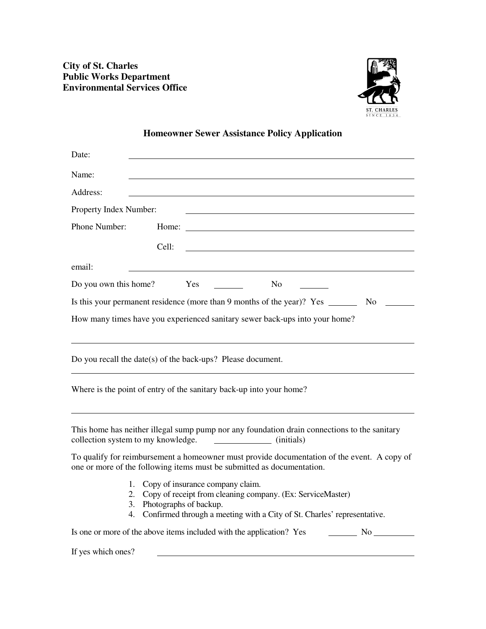

## **Homeowner Sewer Assistance Policy Application**

| Date:                                                                                                                                                                                                                       |  |  |  |  |  |  |
|-----------------------------------------------------------------------------------------------------------------------------------------------------------------------------------------------------------------------------|--|--|--|--|--|--|
| Name:                                                                                                                                                                                                                       |  |  |  |  |  |  |
| Address:                                                                                                                                                                                                                    |  |  |  |  |  |  |
| Property Index Number:                                                                                                                                                                                                      |  |  |  |  |  |  |
| Phone Number:                                                                                                                                                                                                               |  |  |  |  |  |  |
| Cell:                                                                                                                                                                                                                       |  |  |  |  |  |  |
| email:                                                                                                                                                                                                                      |  |  |  |  |  |  |
| Yes<br>N <sub>o</sub><br>Do you own this home?                                                                                                                                                                              |  |  |  |  |  |  |
| Is this your permanent residence (more than 9 months of the year)? Yes ________<br>N <sub>0</sub>                                                                                                                           |  |  |  |  |  |  |
| How many times have you experienced sanitary sewer back-ups into your home?                                                                                                                                                 |  |  |  |  |  |  |
|                                                                                                                                                                                                                             |  |  |  |  |  |  |
| Do you recall the date(s) of the back-ups? Please document.                                                                                                                                                                 |  |  |  |  |  |  |
| Where is the point of entry of the sanitary back-up into your home?                                                                                                                                                         |  |  |  |  |  |  |
| This home has neither illegal sump pump nor any foundation drain connections to the sanitary<br>collection system to my knowledge.<br>(initials)                                                                            |  |  |  |  |  |  |
| To qualify for reimbursement a homeowner must provide documentation of the event. A copy of<br>one or more of the following items must be submitted as documentation.                                                       |  |  |  |  |  |  |
| Copy of insurance company claim.<br>1.<br>Copy of receipt from cleaning company. (Ex: ServiceMaster)<br>2.<br>Photographs of backup.<br>3.<br>Confirmed through a meeting with a City of St. Charles' representative.<br>4. |  |  |  |  |  |  |
| Is one or more of the above items included with the application? Yes<br>$\overline{\phantom{a}}$ No $\overline{\phantom{a}}$                                                                                                |  |  |  |  |  |  |
| If yes which ones?                                                                                                                                                                                                          |  |  |  |  |  |  |